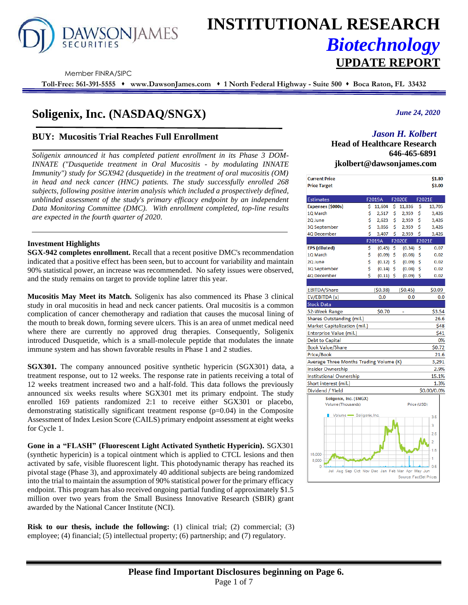

# **INSTITUTIONAL RESEARCH** *Biotechnology* **UPDATE REPORT**

Member FINRA/SIPC

**Toll-Free: 561-391-5555** ⬧ **www.DawsonJames.com** ⬧ **1 North Federal Highway - Suite 500** ⬧ **Boca Raton, FL 33432**

## **Soligenix, Inc. (NASDAQ/SNGX)**

#### **BUY: Mucositis Trial Reaches Full Enrollment**

*Soligenix announced it has completed patient enrollment in its Phase 3 DOM-INNATE ("Dusquetide treatment in Oral Mucositis - by modulating INNATE Immunity") study for SGX942 (dusquetide) in the treatment of oral mucositis (OM) in head and neck cancer (HNC) patients. The study successfully enrolled 268 subjects, following positive interim analysis which included a prospectively defined, unblinded assessment of the study's primary efficacy endpoint by an independent Data Monitoring Committee (DMC). With enrollment completed, top-line results are expected in the fourth quarter of 2020.* 

#### **Investment Highlights**

**SGX-942 completes enrollment.** Recall that a recent positive DMC's recommendation indicated that a positive effect has been seen, but to account for variability and maintain 90% statistical power, an increase was recommended. No safety issues were observed, and the study remains on target to provide topline latrer this year.

**Mucositis May Meet its Match.** Soligenix has also commenced its Phase 3 clinical study in oral mucositis in head and neck cancer patients. Oral mucositis is a common complication of cancer chemotherapy and radiation that causes the mucosal lining of the mouth to break down, forming severe ulcers. This is an area of unmet medical need where there are currently no approved drug therapies. Consequently, Soligenix introduced Dusquetide, which is a small-molecule peptide that modulates the innate immune system and has shown favorable results in Phase 1 and 2 studies.

**SGX301.** The company announced positive synthetic hypericin (SGX301) data, a treatment response, out to 12 weeks. The response rate in patients receiving a total of 12 weeks treatment increased two and a half-fold. This data follows the previously announced six weeks results where SGX301 met its primary endpoint. The study enrolled 169 patients randomized 2:1 to receive either SGX301 or placebo, demonstrating statistically significant treatment response (p=0.04) in the Composite Assessment of Index Lesion Score (CAILS) primary endpoint assessment at eight weeks for Cycle 1.

**Gone in a "FLASH" (Fluorescent Light Activated Synthetic Hypericin).** SGX301 (synthetic hypericin) is a topical ointment which is applied to CTCL lesions and then activated by safe, visible fluorescent light. This photodynamic therapy has reached its pivotal stage (Phase 3), and approximately 40 additional subjects are being randomized into the trial to maintain the assumption of 90% statistical power for the primary efficacy endpoint. This program has also received ongoing partial funding of approximately \$1.5 million over two years from the Small Business Innovative Research (SBIR) grant awarded by the National Cancer Institute (NCI).

**Risk to our thesis, include the following:** (1) clinical trial; (2) commercial; (3) employee; (4) financial; (5) intellectual property; (6) partnership; and (7) regulatory.

*June 24, 2020*

### *Jason H. Kolbert*

**Head of Healthcare Research 646-465-6891 jkolbert@dawsonjames.com**

| <b>Current Price</b>                                    |          |             |    |                        |             | \$1.80         |
|---------------------------------------------------------|----------|-------------|----|------------------------|-------------|----------------|
| <b>Price Target</b>                                     |          |             |    |                        |             | \$3.00         |
|                                                         |          |             |    |                        |             |                |
| <b>Estimates</b>                                        |          | F2019A      |    | F2020E                 | F2021E      |                |
| Expenses (\$000s)                                       | \$       | 11,604      | \$ | 11,836                 | \$          | 13,705         |
| 1Q March                                                | \$       | 2,517       | \$ | 2,959                  | \$          | 3,426          |
| 2Q June                                                 | Ś        | 2,623       | \$ | 2,959                  | \$          | 3,426          |
| 3Q September                                            | \$       | 3,056       | \$ | 2,959                  | \$          | 3,426          |
| 4Q December                                             | Ś        | 3,407       | Ś  | 2,959                  | \$          | 3,426          |
|                                                         |          | F2019A      |    | <b>F2020E</b>          | F2021E      |                |
| <b>EPS</b> (diluted)                                    | \$<br>\$ | $(0.45)$ \$ |    | $(0.34)$ \$            |             | 0.07           |
| 1Q March                                                |          | $(0.09)$ \$ |    | (0.08)                 | \$          | 0.02           |
| 2Q June                                                 | \$<br>Ś  | $(0.12)$ \$ |    | (0.09)                 | Ŝ           | 0.02           |
| 3Q September                                            | Ś        | $(0.14)$ \$ |    | (0.08)                 | Ś           | 0.02           |
| 4Q December                                             |          | $(0.11)$ \$ |    | $(0.09)$ \$            |             | 0.02           |
|                                                         |          |             |    |                        |             |                |
| <b>EBITDA/Share</b>                                     |          | (50.38)     |    | (50.45)                |             | \$0.09         |
| EV/EBITDA (x)                                           |          | 0.0         |    | 0.0                    |             | 0.0            |
| <b>Stock Data</b>                                       |          |             |    |                        |             |                |
| 52-Week Range                                           |          | \$0.70      |    |                        |             | \$3.54         |
| Shares Outstanding (mil.)                               |          |             |    |                        |             | 26.6           |
| Market Capitalization (mil.)                            |          |             |    |                        |             | \$48           |
| Enterprise Value (mil.)                                 |          |             |    |                        |             | \$41           |
| <b>Debt to Capital</b>                                  |          |             |    |                        |             | 0%             |
| <b>Book Value/Share</b>                                 |          |             |    |                        |             | \$0.72         |
| Price/Book                                              |          |             |    |                        |             | 21.6           |
| Average Three Months Trading Volume (K)                 |          |             |    |                        |             | 3,291          |
| Insider Ownership                                       |          |             |    |                        |             | 2.9%           |
| Institutional Ownership                                 |          |             |    |                        |             | 15.1%          |
| Short interest (mil.)                                   |          |             |    |                        |             | 1.3%           |
| Dividend / Yield                                        |          |             |    |                        |             | \$0.00/0.0%    |
| Soligenix, Inc. (SNGX)                                  |          |             |    |                        |             |                |
| Volume (Thousands)                                      |          |             |    |                        | Price (USD) |                |
| Volume Soligenix, Inc.                                  |          |             |    |                        |             |                |
|                                                         |          |             |    |                        |             | 3.5            |
|                                                         |          |             |    |                        |             | 3              |
|                                                         |          |             |    |                        |             | 2.5            |
|                                                         |          |             |    |                        |             | $\overline{2}$ |
|                                                         |          |             |    |                        |             | 1.5            |
| 16,000                                                  |          |             |    |                        |             | 1              |
| 8,000                                                   |          |             |    |                        |             |                |
| Ō<br>Aug Sep Oct Nov Dec Jan Feb Mar Apr May Jun<br>Jul |          |             |    |                        |             | 0.5            |
|                                                         |          |             |    | Source: FactSet Prices |             |                |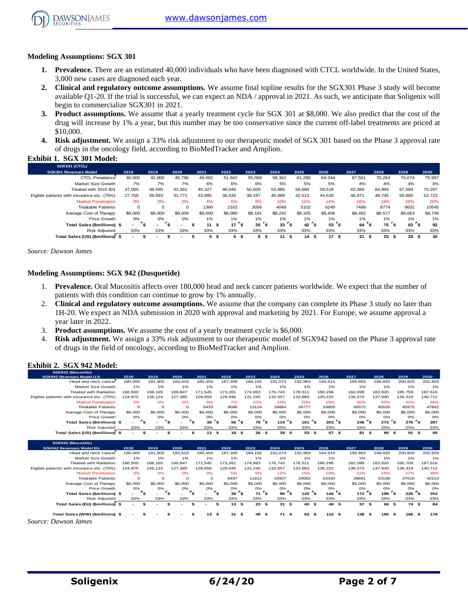

#### **Modeling Assumptions: SGX 301**

- **1. Prevalence.** There are an estimated 40,000 individuals who have been diagnosed with CTCL worldwide. In the United States, 3,000 new cases are diagnosed each year.
- **2. Clinical and regulatory outcome assumptions.** We assume final topline results for the SGX301 Phase 3 study will become available Q1-20. If the trial is successful, we can expect an NDA / approval in 2021. As such, we anticipate that Soligenix will begin to commercialize SGX301 in 2021.
- **3. Product assumptions.** We assume that a yearly treatment cycle for SGX 301 at \$8,000. We also predict that the cost of the drug will increase by 1% a year, but this number may be too conservative since the current off-label treatments are priced at \$10,000.
- **4. Risk adjustment.** We assign a 33% risk adjustment to our therapeutic model of SGX 301 based on the Phase 3 approval rate of drugs in the oncology field, according to BioMedTracker and Amplion.

#### **Exhibit 1. SGX 301 Model:**

| SGX301 (CTCL)                              |         |         |         |         |           |           |            |                    |                |            |            |            |         |
|--------------------------------------------|---------|---------|---------|---------|-----------|-----------|------------|--------------------|----------------|------------|------------|------------|---------|
| <b>SGX301 Revenues Model</b>               | 2018    | 2019    | 2020    | 2021    | 2022      | 2023      | 2024       | 2025               | 2026           | 2027       | 2028       | 2029       | 2030    |
| <b>CTCL Prevalance</b>                     | 40,000  | 42.800  | 45,796  | 49,002  | 51.942    | 55,058    | 58,362     | 61,280             | 64.344         | 67,561     | 70.264     | 73.074     | 75,997  |
| Market Size Growth                         | 7%      | 7%      | 7%      | 6%      | 6%        | 6%        | 5%         | 5%                 | 5%             | 4%         | 4%         | 4%         | 3%      |
| Treated with SGX 301                       | 37,000  | 39,590  | 42.361  | 45,327  | 48.046    | 50,929    | 53,985     | 56,684             | 59.518         | 62.494     | 64.994     | 67.594     | 70,297  |
| Elgible patients with insurance etc. (75%) | 27.750  | 29.693  | 31.771  | 33.995  | 36.035    | 38,197    | 40.489     | 42.513             | 44.639         | 46.871     | 48.745     | 50.695     | 52,723  |
| <b>Market Penetration</b>                  | 0%      | 0%      | 0%      | 4%      | 6%        | 8%        | 10%        | 12%                | 14%            | 16%        | 18%        | 19%        | 20%     |
| <b>Treatable Patients</b>                  | 0       | 0       |         | 1360    | 2162      | 3056      | 4049       | 5102               | 6249           | 7499       | 8774       | 9632       | 10545   |
| Average Cost of Therapy                    | \$8,000 | \$8,000 | \$8,000 | \$8,000 | \$8,080   | \$8.161   | \$8,242    | \$8,325            | \$8,408        | \$8,492    | \$8,577    | \$8,663    | \$8,749 |
| Price Growth                               | 0%      | 0%      | 0%      | 1%      | $1\%$     | $1\%$     | 1%         | 1%                 | 1%             | 1%         | $1\%$      | $1\%$      | 1%      |
| Total Sales (\$millions) \$                |         | ۰.      |         | 11      | 17        | 25<br>\$  | 33         | 42                 | <b>s</b><br>53 | 64         | 75<br>-3   | 83         | 92      |
| <b>Risk Adiusted</b>                       | 33%     | 33%     | 33%     | 33%     | 33%       | 33%       | 33%        | 33%                | 33%            | 33%        | 33%        | 33%        | 33%     |
| Total Sales (US) (\$millions)              |         |         |         | 4       | 6<br>- 55 | 8<br>- 55 | 11<br>- 55 | 14<br>- 55<br>- 55 | 17<br>£.       | 21<br>- 55 | 25<br>- \$ | 28<br>- 55 | 30      |

*Source: Dawson James*

#### **Modeling Assumptions: SGX 942 (Dusquetide)**

- 1. **Prevalence.** Oral Mucositis affects over 180,000 head and neck cancer patients worldwide. We expect that the number of patients with this condition can continue to grow by 1% annually.
- 2. **Clinical and regulatory outcome assumptions.** We assume that the company can complete its Phase 3 study no later than 1H-20. We expect an NDA submission in 2020 with approval and marketing by 2021. For Europe, we assume approval a year later in 2022.
- 3. **Product assumptions.** We assume the cost of a yearly treatment cycle is \$6,000.
- 4. **Risk adjustment.** We assign a 33% risk adjustment to our therapeutic model of SGX942 based on the Phase 3 approval rate of drugs in the field of oncology, according to BioMedTracker and Amplion.

#### **Exhibit 2. SGX 942 Model:**

| SGX942 (Mucositis)                         |                          |                                      |          |         |               |            |                 |            |                     |         |            |                        |            |
|--------------------------------------------|--------------------------|--------------------------------------|----------|---------|---------------|------------|-----------------|------------|---------------------|---------|------------|------------------------|------------|
| SGX942 Revenues Model U.S.                 | 2018                     | 2019                                 | 2020     | 2021    | 2022          | 2023       | 2024            | 2025       | 2026                | 2027    | 2028       | 2029                   | 2030       |
| Head and neck cancer                       | 180,000                  | 181.800                              | 183.618  | 185.454 | 187,309       | 189.182    | 191.074         | 192.984    | 194.914             | 196,863 | 198.832    | 200.820                | 202,829    |
| Market Size Growth                         | 1%                       | 1%                                   | 1%       | 1%      | 1%            | 1%         | 1%              | 1%         | 1%                  | 1%      | 1%         | 1%                     | 1%         |
| <b>Treated with Radiation</b>              | 166,500                  | 168.165                              | 169.847  | 171.545 | 173.261       | 174.993    | 176.743         | 178.511    | 180.296             | 182.099 | 183.920    | 185,759                | 187,616    |
| Elgible patients with insurance etc. (75%) | 124.875                  | 126.124                              | 127.385  | 128.659 | 129.945       | 131.245    | 132.557         | 133,883    | 135.222             | 136.574 | 137.940    | 139.319                | 140.712    |
| <b>Market Penetration</b>                  | 0%                       | 0%                                   | 0%       | 5%      | 7%            | 10%        | 15%             | 20%        | 25%                 | 30%     | 33%        | 33%                    | 34%        |
| <b>Treatable Patients</b>                  | $\circ$                  | $\circ$                              | $\Omega$ | 6433    | 9096          | 13124      | 19884           | 26777      | 33805               | 40972   | 45520      | 45975                  | 47842      |
| Average Cost of Therapy                    | \$6,000                  | \$6,000                              | \$6,000  | \$6,000 | \$6,000       | \$6,000    | \$6,000         | \$6,000    | \$6,000             | \$6,000 | \$6,000    | \$6,000                | \$6,000    |
| Price Growth                               | 0%                       | 0%                                   | 0%       | 0%      | 0%            | 0%         | 0%              | 0%         | 0%                  | 0%      | 0%         | O%                     | 0%         |
| Total Sales (\$millions) \$                | $\overline{\phantom{a}}$ | <b>s</b><br>$\overline{\phantom{0}}$ |          | 39      | $55^\circ$ \$ | 79         | <b>s</b><br>119 | 161        | $\mathbf{s}$<br>203 | 246     | 273        | ้ร<br>276 <sup>5</sup> | 287        |
| <b>Risk Adiusted</b>                       | 33%                      | 33%                                  | 33%      | 33%     | 33%           | 33%        | 33%             | 33%        | 33%                 | 33%     | 33%        | 33%                    | 33%        |
| Total Sales (US) (\$millions) \$           | $\overline{\phantom{0}}$ | -                                    |          | 13      | 18<br>-S      | 26<br>- 56 | 39<br>- 55      | 53<br>- 56 | 67<br>\$<br>- 51    | 81      | 90<br>- 55 | 91<br>-S               | 95<br>- 56 |

| SGX942 (Mucositis)                         |         |                                                     |                          |                          |           |            |                |            |                  |         |              |                |         |
|--------------------------------------------|---------|-----------------------------------------------------|--------------------------|--------------------------|-----------|------------|----------------|------------|------------------|---------|--------------|----------------|---------|
| SGX942 Revenues Model EU.                  | 2018    | 2019                                                | 2020                     | 2021                     | 2022      | 2023       | 2024           | 2025       | 2026             | 2027    | 2028         | 2029           | 2030    |
| Head and neck cancer                       | 180,000 | 181,800                                             | 183.618                  | 185.454                  | 187.309   | 189,182    | 191.074        | 192,984    | 194.914          | 196,863 | 198.832      | 200,820        | 202,829 |
| Market Size Growth                         | 1%      | 1%                                                  | 1%                       | 1%                       | 1%        | 1%         | 1%             | 1%         | 1%               | 1%      | 1%           | 1%             | 1%      |
| <b>Treated with Radiation</b>              | 166,500 | 168,165                                             | 169.847                  | 171.545                  | 173.261   | 174.993    | 176,743        | 178.511    | 180.296          | 182.099 | 183.920      | 185,759        | 187,616 |
| Elgible patients with insurance etc. (75%) | 124.875 | 126.124                                             | 127.385                  | 128.659                  | 129.945   | 131.245    | 132.557        | 133.883    | 135.222          | 136,574 | 137.940      | 139.319        | 140,712 |
| <b>Market Penetration</b>                  | 0%      | 0%                                                  | 0%                       | 0%                       | 5%        | 9%         | 12%            | 15%        | 18%              | 21%     | 24%          | 27%            | 30%     |
| <b>Treatable Patients</b>                  | 0       | $\circ$                                             |                          | $\circ$                  | 6497      | 11812      | 15907          | 20082      | 24340            | 28681   | 33106        | 37616          | 42214   |
| Average Cost of Therapy                    | \$6,000 | \$6,000                                             | \$6,000                  | \$6,000                  | \$6,000   | \$6,000    | \$6,000        | \$6,000    | \$6,000          | \$6,000 | \$6,000      | \$6,000        | \$6,000 |
| Price Growth                               | 0%      | 0%                                                  | O%                       | 0%                       | O%        | 0%         | 0%             | 0%         | 0%               | 0%      | 0%           | 0%             | 0%      |
| Total Sales (\$millions) \$                | . .     | $\mathbf{r}_\mathbf{s}$<br>$\overline{\phantom{a}}$ | $\overline{\phantom{0}}$ | $\sim$                   | 39        | 's<br>71   | <b>s</b><br>95 | 120        | 146 <sup>5</sup> | 172     | ۰s<br>199    | ء'<br>226 S    | 253     |
| <b>Risk Adiusted</b>                       | 33%     | 33%                                                 | 33%                      | 33%                      | 33%       | 33%        | 33%            | 33%        | 33%              | 33%     | 33%          | 33%            | 33%     |
| Total Sales (EU) (\$millions) \$           | -       | $\overline{\phantom{0}}$                            |                          | $\overline{\phantom{a}}$ | 13        | 23<br>- 16 | 31<br>- 55     | 40<br>- \$ | 48 \$<br>- \$    | 57      | 66 S<br>- \$ | 74S            | 84      |
|                                            |         |                                                     |                          |                          |           |            |                |            |                  |         |              |                |         |
| Total Sales (WW) (\$millions) \$           |         | -                                                   | s                        | 13<br>S                  | s.<br>31S | 49         | 71 S<br>-SS    | 93         | 115S<br>- 56     | 138     | 156<br>- 56  | 166 \$<br>- \$ | 178     |
| $\sim$<br>$\sim$                           |         |                                                     |                          |                          |           |            |                |            |                  |         |              |                |         |

*Source: Dawson James*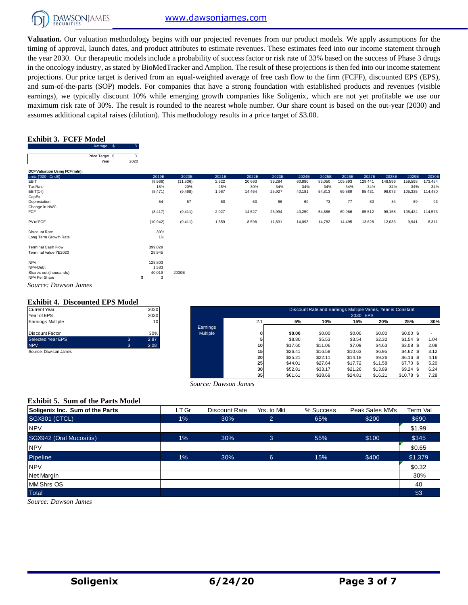

**Valuation.** Our valuation methodology begins with our projected revenues from our product models. We apply assumptions for the timing of approval, launch dates, and product attributes to estimate revenues. These estimates feed into our income statement through the year 2030. Our therapeutic models include a probability of success factor or risk rate of 33% based on the success of Phase 3 drugs in the oncology industry, as stated by BioMedTracker and Amplion. The result of these projections is then fed into our income statement projections. Our price target is derived from an equal-weighted average of free cash flow to the firm (FCFF), discounted EPS (EPS), and sum-of-the-parts (SOP) models. For companies that have a strong foundation with established products and revenues (visible earnings), we typically discount 10% while emerging growth companies like Soligenix, which are not yet profitable we use our maximum risk rate of 30%. The result is rounded to the nearest whole number. Our share count is based on the out-year (2030) and assumes additional capital raises (dilution). This methodology results in a price target of \$3.00.

#### **Exhibit 3. FCFF Model**

|                                | Average \$      |      |         |           |       |        |        |        |        |         |         |         |         |         |
|--------------------------------|-----------------|------|---------|-----------|-------|--------|--------|--------|--------|---------|---------|---------|---------|---------|
|                                | Price Target \$ |      |         |           |       |        |        |        |        |         |         |         |         |         |
|                                | Year            | 2020 |         |           |       |        |        |        |        |         |         |         |         |         |
| DCF Valuation Using FCF (mln): |                 |      |         |           |       |        |        |        |        |         |         |         |         |         |
| units ('000 - Cnd\$)           |                 |      | 2019E   | 2020E     | 2021E | 2022E  | 2023E  | 2024E  | 2025E  | 2026E   | 2027E   | 2028E   | 2029E   | 2030E   |
| EBIT                           |                 |      | (9,966) | (11, 836) | 2,622 | 20,663 | 39,284 | 60,880 | 83,050 | 105,893 | 129,441 | 148,596 | 159,598 | 173.454 |

| <b>TEdi</b>                    | ZUZU |                          |           |        |        |                          |        |                          |         |                          |         |         |         |
|--------------------------------|------|--------------------------|-----------|--------|--------|--------------------------|--------|--------------------------|---------|--------------------------|---------|---------|---------|
| DCF Valuation Using FCF (mln): |      |                          |           |        |        |                          |        |                          |         |                          |         |         |         |
| units ('000 - Cnd\$)           |      | 2019E                    | 2020E     | 2021E  | 2022E  | 2023E                    | 2024E  | 2025E                    | 2026E   | 2027E                    | 2028E   | 2029E   | 2030E   |
| EBIT                           |      | (9,966)                  | (11, 836) | 2,622  | 20,663 | 39,284                   | 60,880 | 83,050                   | 105,893 | 129,441                  | 148,596 | 159,598 | 173,454 |
| Tax Rate                       |      | 15%                      | 20%       | 25%    | 30%    | 34%                      | 34%    | 34%                      | 34%     | 34%                      | 34%     | 34%     | 34%     |
| $EBIT(1-t)$                    |      | (8, 471)                 | (9,468)   | 1,967  | 14,464 | 25,927                   | 40,181 | 54,813                   | 69,889  | 85,431                   | 98,073  | 105,335 | 114,480 |
| CapEx                          |      | $\overline{\phantom{a}}$ |           | $\sim$ | ٠      | $\overline{\phantom{0}}$ | $\sim$ | $\overline{\phantom{a}}$ |         | $\overline{\phantom{0}}$ |         |         |         |
| Depreciation                   |      | 54                       | 57        | 60     | 63     | 66                       | 69     | 73                       | 77      | 80                       | 84      | 89      | 93      |
| Change in NWC                  |      |                          |           |        |        |                          |        |                          |         |                          |         |         |         |
| FCF                            |      | (8, 417)                 | (9, 411)  | 2,027  | 14,527 | 25,994                   | 40,250 | 54,886                   | 69,966  | 85,512                   | 98,158  | 105,424 | 114,573 |
| PV of FCF                      |      | (10, 942)                | (9, 411)  | 1,559  | 8,596  | 11,831                   | 14,093 | 14,782                   | 14,495  | 13,628                   | 12,033  | 9,941   | 8,311   |
| Discount Rate                  |      | 30%                      |           |        |        |                          |        |                          |         |                          |         |         |         |
| Long Term Growth Rate          |      | 1%                       |           |        |        |                          |        |                          |         |                          |         |         |         |
| <b>Terminal Cash Flow</b>      |      | 399,029                  |           |        |        |                          |        |                          |         |                          |         |         |         |
| Terminal Value YE2020          |      | 28,945                   |           |        |        |                          |        |                          |         |                          |         |         |         |
| <b>NPV</b>                     |      | 128,803                  |           |        |        |                          |        |                          |         |                          |         |         |         |
| NPV-Debt                       |      | 1,583                    |           |        |        |                          |        |                          |         |                          |         |         |         |
| Shares out (thousands)         |      | 40,019                   | 2030E     |        |        |                          |        |                          |         |                          |         |         |         |
| NPV Per Share                  | \$   | 3                        |           |        |        |                          |        |                          |         |                          |         |         |         |
| Source: Dawson James           |      |                          |           |        |        |                          |        |                          |         |                          |         |         |         |

#### **Exhibit 4. Discounted EPS Model**

| <b>Current Year</b>      | 2020       |
|--------------------------|------------|
| Year of EPS              | 2030       |
| <b>Earnings Multiple</b> | 10         |
|                          |            |
| <b>Discount Factor</b>   | 30%        |
| <b>Selected Year EPS</b> | \$<br>2.87 |
| <b>NPV</b>               | \$<br>2.08 |
| Source: Daw son James    |            |

| Current Year          |    | 2020 |                 |                 |         | Discount Rate and Earnings Multiple Varies, Year is Constant |          |         |             |      |
|-----------------------|----|------|-----------------|-----------------|---------|--------------------------------------------------------------|----------|---------|-------------|------|
| Year of EPS           |    | 2030 |                 |                 |         |                                                              | 2030 EPS |         |             |      |
| Earnings Multiple     |    | 10   |                 | 2.1             | 5%      | 10%                                                          | 15%      | 20%     | 25%         | 30%  |
|                       |    |      | Earnings        |                 |         |                                                              |          |         |             |      |
| Discount Factor       |    | 30%  | <b>Multiple</b> | 0               | \$0.00  | \$0.00                                                       | \$0.00   | \$0.00  | $$0.00$ \$  |      |
| Selected Year EPS     |    | 2.87 |                 | 5               | \$8.80  | \$5.53                                                       | \$3.54   | \$2.32  | $$1.54$ \$  | 1.04 |
| <b>NPV</b>            | S. | 2.08 |                 | 10 <sup>1</sup> | \$17.60 | \$11.06                                                      | \$7.09   | \$4.63  | $$3.08$ \$  | 2.08 |
| Source: Daw son James |    |      |                 | 15              | \$26.41 | \$16.58                                                      | \$10.63  | \$6.95  | \$4.62\$    | 3.12 |
|                       |    |      |                 | 20              | \$35.21 | \$22.11                                                      | \$14.18  | \$9.26  | $$6.16$ \$  | 4.16 |
|                       |    |      |                 | 25 <sub>1</sub> | \$44.01 | \$27.64                                                      | \$17.72  | \$11.58 | $$7.70$ \$  | 5.20 |
|                       |    |      |                 | 30 <sup>1</sup> | \$52.81 | \$33.17                                                      | \$21.26  | \$13.89 | $$9.24$ \$  | 6.24 |
|                       |    |      |                 | 35 <sub>1</sub> | \$61.61 | \$38.69                                                      | \$24.81  | \$16.21 | $$10.78$ \$ | 7.28 |

#### **Exhibit 5. Sum of the Parts Model**

| Source: Dawson James                     |       |               |                |           |                 |          |  |  |  |  |
|------------------------------------------|-------|---------------|----------------|-----------|-----------------|----------|--|--|--|--|
| <b>Exhibit 5. Sum of the Parts Model</b> |       |               |                |           |                 |          |  |  |  |  |
| Soligenix Inc. Sum of the Parts          | LT Gr | Discount Rate | Yrs. to Mkt    | % Success | Peak Sales MM's | Term Val |  |  |  |  |
| <b>SGX301 (CTCL)</b>                     | 1%    | 30%           | $\overline{2}$ | 65%       | \$200           | \$690    |  |  |  |  |
| <b>NPV</b>                               |       |               |                |           |                 | \$1.99   |  |  |  |  |
| SGX942 (Oral Mucositis)                  | $1\%$ | 30%           | 3              | 55%       | \$100           | \$345    |  |  |  |  |
| <b>NPV</b>                               |       |               |                |           |                 | \$0.65   |  |  |  |  |
| Pipeline                                 | 1%    | 30%           | 6              | 15%       | \$400           | \$1,379  |  |  |  |  |
| <b>NPV</b>                               |       |               |                |           |                 | \$0.32   |  |  |  |  |
| Net Margin                               |       |               |                |           |                 | 30%      |  |  |  |  |
| <b>MM Shrs OS</b>                        |       |               |                |           |                 | 40       |  |  |  |  |
| Total                                    |       |               |                |           |                 | \$3      |  |  |  |  |
| Source: Dawson James                     |       |               |                |           |                 |          |  |  |  |  |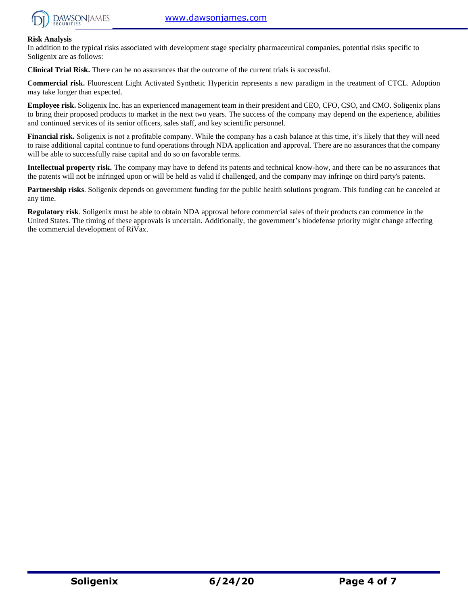

#### **Risk Analysis**

In addition to the typical risks associated with development stage specialty pharmaceutical companies, potential risks specific to Soligenix are as follows:

**Clinical Trial Risk.** There can be no assurances that the outcome of the current trials is successful.

**Commercial risk.** Fluorescent Light Activated Synthetic Hypericin represents a new paradigm in the treatment of CTCL. Adoption may take longer than expected.

**Employee risk.** Soligenix Inc. has an experienced management team in their president and CEO, CFO, CSO, and CMO. Soligenix plans to bring their proposed products to market in the next two years. The success of the company may depend on the experience, abilities and continued services of its senior officers, sales staff, and key scientific personnel.

**Financial risk.** Soligenix is not a profitable company. While the company has a cash balance at this time, it's likely that they will need to raise additional capital continue to fund operations through NDA application and approval. There are no assurances that the company will be able to successfully raise capital and do so on favorable terms.

**Intellectual property risk.** The company may have to defend its patents and technical know-how, and there can be no assurances that the patents will not be infringed upon or will be held as valid if challenged, and the company may infringe on third party's patents.

**Partnership risks**. Soligenix depends on government funding for the public health solutions program. This funding can be canceled at any time.

**Regulatory risk**. Soligenix must be able to obtain NDA approval before commercial sales of their products can commence in the United States. The timing of these approvals is uncertain. Additionally, the government's biodefense priority might change affecting the commercial development of RiVax.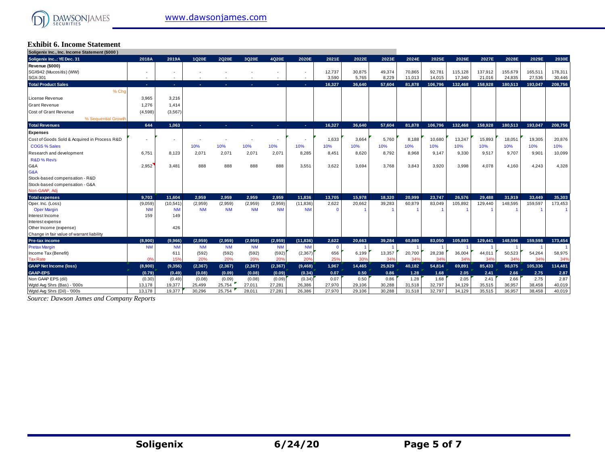

#### **Exhibit 6. Income Statement Soligenix Inc., Inc. Income Statement (\$000 )**

| Sougenix inc., inc. income statement (\$000) |                          |                          |           |           |           |           |                          |          |        |        |        |         |         |         |         |         |         |
|----------------------------------------------|--------------------------|--------------------------|-----------|-----------|-----------|-----------|--------------------------|----------|--------|--------|--------|---------|---------|---------|---------|---------|---------|
| Soligenix Inc: YE Dec. 31                    | 2018A                    | 2019A                    | 1Q20E     | 2020E     | 3Q20E     | 4Q20E     | 2020E                    | 2021E    | 2022E  | 2023E  | 2024E  | 2025E   | 2026E   | 2027E   | 2028E   | 2029E   | 2030E   |
| Revenue (\$000)                              |                          |                          |           |           |           |           |                          |          |        |        |        |         |         |         |         |         |         |
| SGX942 (Mucositis) (WW)                      | ٠                        | ٠                        |           |           |           | ٠         | ٠                        | 12,737   | 30,875 | 49,374 | 70,865 | 92,781  | 115,128 | 137.912 | 155,679 | 165.511 | 178,311 |
| SGX-301                                      | $\overline{\phantom{a}}$ | $\overline{\phantom{a}}$ |           |           |           | $\sim$    | $\overline{\phantom{a}}$ | 3,590    | 5,765  | 8,229  | 11,013 | 14,015  | 17,340  | 21,016  | 24,835  | 27,536  | 30,446  |
| <b>Total Product Sales</b>                   | х.                       | $\sim$                   | ×.        |           |           | х.        | <b>A</b>                 | 16,327   | 36.640 | 57.604 | 81,878 | 106,796 | 132,468 | 158.928 | 180,513 | 193,047 | 208,756 |
| % Cho                                        |                          |                          |           |           |           |           |                          |          |        |        |        |         |         |         |         |         |         |
| License Revenue                              | 3,965                    | 3,216                    |           |           |           |           |                          |          |        |        |        |         |         |         |         |         |         |
| <b>Grant Revenue</b>                         | 1,276                    | 1,414                    |           |           |           |           |                          |          |        |        |        |         |         |         |         |         |         |
| Cost of Grant Revenue                        | (4,598)                  | (3, 567)                 |           |           |           |           |                          |          |        |        |        |         |         |         |         |         |         |
| % Sequential Growth                          |                          |                          |           |           |           |           |                          |          |        |        |        |         |         |         |         |         |         |
| <b>Total Revenues</b>                        | 644                      | 1.063                    | ×.        | н.        | ъ.        | ÷.        | х.                       | 16,327   | 36,640 | 57,604 | 81,878 | 106,796 | 132,468 | 158,928 | 180,513 | 193,047 | 208,756 |
| <b>Expenses</b>                              |                          |                          |           |           |           |           |                          |          |        |        |        |         |         |         |         |         |         |
| Cost of Goods Sold & Acquired in Process R&D |                          | и.                       |           |           |           |           |                          | 1,633    | 3,664  | 5.760  | 8.188  | 10,680  | 13,247  | 15.893  | 18,051  | 19,305  | 20,876  |
| <b>COGS % Sales</b>                          |                          |                          | 10%       | 10%       | 10%       | 10%       | 10%                      | 10%      | 10%    | 10%    | 10%    | 10%     | 10%     | 10%     | 10%     | 10%     | 10%     |
| Research and development                     | 6.751                    | 8.123                    | 2.071     | 2.071     | 2,071     | 2,071     | 8.285                    | 8.451    | 8.620  | 8.792  | 8.968  | 9,147   | 9.330   | 9.517   | 9.707   | 9.901   | 10,099  |
| R&D % Rev's                                  |                          |                          |           |           |           |           |                          |          |        |        |        |         |         |         |         |         |         |
| G&A                                          | 2,952                    | 3.481                    | 888       | 888       | 888       | 888       | 3.551                    | 3,622    | 3.694  | 3.768  | 3.843  | 3,920   | 3.998   | 4.078   | 4,160   | 4.243   | 4,328   |
| G&A                                          |                          |                          |           |           |           |           |                          |          |        |        |        |         |         |         |         |         |         |
| Stock-based compensation - R&D               |                          |                          |           |           |           |           |                          |          |        |        |        |         |         |         |         |         |         |
| Stock-based compensation - G&A               |                          |                          |           |           |           |           |                          |          |        |        |        |         |         |         |         |         |         |
| Non-GAAP, Adj                                |                          |                          |           |           |           |           |                          |          |        |        |        |         |         |         |         |         |         |
| <b>Total expenses</b>                        | 9.703                    | 11.604                   | 2.959     | 2.959     | 2.959     | 2.959     | 11.836                   | 13.705   | 15.978 | 18.320 | 20.999 | 23.747  | 26.576  | 29.488  | 31.919  | 33.449  | 35.303  |
| Oper. Inc. (Loss)                            | (9,059)                  | (10, 541)                | (2,959)   | (2,959)   | (2,959)   | (2,959)   | (11, 836)                | 2,622    | 20,662 | 39,283 | 60,879 | 83,049  | 105,892 | 129,440 | 148,595 | 159,597 | 173,453 |
| <b>Oper Margin</b>                           | <b>NM</b>                | <b>NM</b>                | <b>NM</b> | <b>NM</b> | <b>NM</b> | <b>NM</b> | <b>NM</b>                | $\Omega$ |        |        |        |         |         |         |         |         |         |
| Interest Income                              | 159                      | 149                      |           |           |           |           |                          |          |        |        |        |         |         |         |         |         |         |
| Interest expense                             |                          |                          |           |           |           |           |                          |          |        |        |        |         |         |         |         |         |         |
| Other Income (expense)                       |                          | 426                      |           |           |           |           |                          |          |        |        |        |         |         |         |         |         |         |
| Change in fair value of warrant liability    |                          |                          |           |           |           |           |                          |          |        |        |        |         |         |         |         |         |         |
| Pre-tax income                               | (8,900)                  | (9,966)                  | (2.959)   | (2.959)   | (2.959)   | (2.959)   | (11, 836)                | 2.622    | 20.663 | 39.284 | 60.880 | 83.050  | 105.893 | 129.441 | 148.596 | 159.598 | 173,454 |
| <b>Pretax Margin</b>                         | <b>NM</b>                | <b>NM</b>                | <b>NM</b> | <b>NM</b> | <b>NM</b> | <b>NM</b> | <b>NM</b>                | $\Omega$ |        |        |        |         |         |         |         |         |         |
| Income Tax (Benefit)                         |                          | 611                      | (592)     | (592)     | (592)     | (592)     | (2, 367)                 | 656      | 6,199  | 13,357 | 20,700 | 28,238  | 36,004  | 44,011  | 50,523  | 54,264  | 58,975  |
| <b>Tax Rate</b>                              | 0%                       | 15%                      | 20%       | 20%       | 20%       | 20%       | 20%                      | 25%      | 30%    | 349    | 34%    | 34%     | 34%     | 34%     | 34%     | 34%     | 34%     |
| <b>GAAP Net Income (loss)</b>                | (8,900)                  | (9,356)                  | (2, 367)  | (2, 367)  | (2, 367)  | (2, 367)  | (9, 468)                 | 1,967    | 14,465 | 25,929 | 40,182 | 54,814  | 69,891  | 85,433  | 98,075  | 105,336 | 114,481 |
| <b>GAAP-EPS</b>                              | (0.79)                   | (0.49)                   | (0.08)    | (0.09)    | (0.08)    | (0.09)    | (0.34)                   | 0.07     | 0.50   | 0.86   | 1.28   | 1.68    | 2.05    | 2.41    | 2.66    | 2.75    | 2.87    |
| Non GAAP EPS (dil)                           | (0.30)                   | (0.49)                   | (0.08)    | (0.09)    | (0.08)    | (0.09)    | (0.34)                   | 0.07     | 0.50   | 0.86   | 1.28   | 1.68    | 2.05    | 2.41    | 2.66    | 2.75    | 2.87    |
| Wotd Avg Shrs (Bas) - '000s                  | 13,178                   | 19,377                   | 25,499    | 25,754    | 27,011    | 27,281    | 26,386                   | 27,970   | 29,106 | 30,288 | 31,518 | 32,797  | 34,129  | 35,515  | 36,957  | 38,458  | 40,019  |
| Watd Ava Shrs (Dil) - '000s                  | 13.178                   | 19.377                   | 30.296    | 25.754    | 28.011    | 27.281    | 26.386                   | 27.970   | 29.106 | 30.288 | 31.518 | 32.797  | 34.129  | 35.515  | 36.957  | 38.458  | 40.019  |

*Source: Dawson James and Company Reports*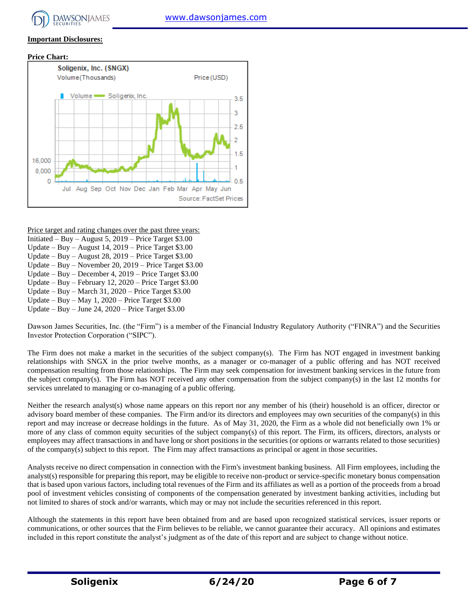#### **Important Disclosures:**





Price target and rating changes over the past three years:

- Initiated Buy August 5, 2019 Price Target \$3.00
- Update Buy August 14, 2019 Price Target \$3.00
- Update Buy August 28, 2019 Price Target \$3.00
- Update Buy November 20, 2019 Price Target \$3.00 Update – Buy – December 4, 2019 – Price Target \$3.00
- Update Buy February 12, 2020 Price Target \$3.00
- Update Buy March 31, 2020 Price Target \$3.00
- Update Buy May 1,  $2020$  Price Target \$3.00
- Update Buy June 24, 2020 Price Target \$3.00

Dawson James Securities, Inc. (the "Firm") is a member of the Financial Industry Regulatory Authority ("FINRA") and the Securities Investor Protection Corporation ("SIPC").

The Firm does not make a market in the securities of the subject company(s). The Firm has NOT engaged in investment banking relationships with SNGX in the prior twelve months, as a manager or co-manager of a public offering and has NOT received compensation resulting from those relationships. The Firm may seek compensation for investment banking services in the future from the subject company(s). The Firm has NOT received any other compensation from the subject company(s) in the last 12 months for services unrelated to managing or co-managing of a public offering.

Neither the research analyst(s) whose name appears on this report nor any member of his (their) household is an officer, director or advisory board member of these companies. The Firm and/or its directors and employees may own securities of the company(s) in this report and may increase or decrease holdings in the future. As of May 31, 2020, the Firm as a whole did not beneficially own 1% or more of any class of common equity securities of the subject company(s) of this report. The Firm, its officers, directors, analysts or employees may affect transactions in and have long or short positions in the securities (or options or warrants related to those securities) of the company(s) subject to this report. The Firm may affect transactions as principal or agent in those securities.

Analysts receive no direct compensation in connection with the Firm's investment banking business. All Firm employees, including the analyst(s) responsible for preparing this report, may be eligible to receive non-product or service-specific monetary bonus compensation that is based upon various factors, including total revenues of the Firm and its affiliates as well as a portion of the proceeds from a broad pool of investment vehicles consisting of components of the compensation generated by investment banking activities, including but not limited to shares of stock and/or warrants, which may or may not include the securities referenced in this report.

Although the statements in this report have been obtained from and are based upon recognized statistical services, issuer reports or communications, or other sources that the Firm believes to be reliable, we cannot guarantee their accuracy. All opinions and estimates included in this report constitute the analyst's judgment as of the date of this report and are subject to change without notice.